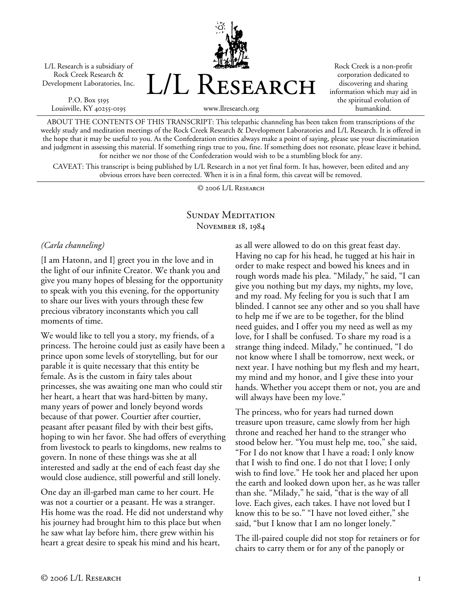L/L Research is a subsidiary of Rock Creek Research & Development Laboratories, Inc.

P.O. Box 5195 Louisville, KY 40255-0195 L/L Research

Rock Creek is a non-profit corporation dedicated to discovering and sharing information which may aid in the spiritual evolution of humankind.

www.llresearch.org

ABOUT THE CONTENTS OF THIS TRANSCRIPT: This telepathic channeling has been taken from transcriptions of the weekly study and meditation meetings of the Rock Creek Research & Development Laboratories and L/L Research. It is offered in the hope that it may be useful to you. As the Confederation entities always make a point of saying, please use your discrimination and judgment in assessing this material. If something rings true to you, fine. If something does not resonate, please leave it behind, for neither we nor those of the Confederation would wish to be a stumbling block for any.

CAVEAT: This transcript is being published by L/L Research in a not yet final form. It has, however, been edited and any obvious errors have been corrected. When it is in a final form, this caveat will be removed.

© 2006 L/L Research

#### SUNDAY MEDITATION November 18, 1984

*(Carla channeling)* 

[I am Hatonn, and I] greet you in the love and in the light of our infinite Creator. We thank you and give you many hopes of blessing for the opportunity to speak with you this evening, for the opportunity to share our lives with yours through these few precious vibratory inconstants which you call moments of time.

We would like to tell you a story, my friends, of a princess. The heroine could just as easily have been a prince upon some levels of storytelling, but for our parable it is quite necessary that this entity be female. As is the custom in fairy tales about princesses, she was awaiting one man who could stir her heart, a heart that was hard-bitten by many, many years of power and lonely beyond words because of that power. Courtier after courtier, peasant after peasant filed by with their best gifts, hoping to win her favor. She had offers of everything from livestock to pearls to kingdoms, new realms to govern. In none of these things was she at all interested and sadly at the end of each feast day she would close audience, still powerful and still lonely.

One day an ill-garbed man came to her court. He was not a courtier or a peasant. He was a stranger. His home was the road. He did not understand why his journey had brought him to this place but when he saw what lay before him, there grew within his heart a great desire to speak his mind and his heart,

as all were allowed to do on this great feast day. Having no cap for his head, he tugged at his hair in order to make respect and bowed his knees and in rough words made his plea. "Milady," he said, "I can give you nothing but my days, my nights, my love, and my road. My feeling for you is such that I am blinded. I cannot see any other and so you shall have to help me if we are to be together, for the blind need guides, and I offer you my need as well as my love, for I shall be confused. To share my road is a strange thing indeed. Milady," he continued, "I do not know where I shall be tomorrow, next week, or next year. I have nothing but my flesh and my heart, my mind and my honor, and I give these into your hands. Whether you accept them or not, you are and will always have been my love."

The princess, who for years had turned down treasure upon treasure, came slowly from her high throne and reached her hand to the stranger who stood below her. "You must help me, too," she said, "For I do not know that I have a road; I only know that I wish to find one. I do not that I love; I only wish to find love." He took her and placed her upon the earth and looked down upon her, as he was taller than she. "Milady," he said, "that is the way of all love. Each gives, each takes. I have not loved but I know this to be so." "I have not loved either," she said, "but I know that I am no longer lonely."

The ill-paired couple did not stop for retainers or for chairs to carry them or for any of the panoply or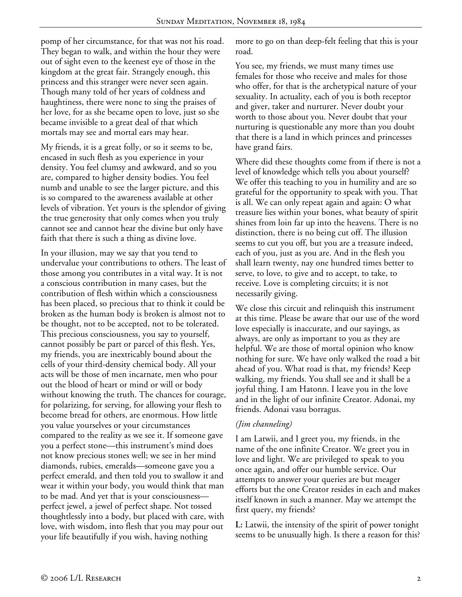pomp of her circumstance, for that was not his road. They began to walk, and within the hour they were out of sight even to the keenest eye of those in the kingdom at the great fair. Strangely enough, this princess and this stranger were never seen again. Though many told of her years of coldness and haughtiness, there were none to sing the praises of her love, for as she became open to love, just so she became invisible to a great deal of that which mortals may see and mortal ears may hear.

My friends, it is a great folly, or so it seems to be, encased in such flesh as you experience in your density. You feel clumsy and awkward, and so you are, compared to higher density bodies. You feel numb and unable to see the larger picture, and this is so compared to the awareness available at other levels of vibration. Yet yours is the splendor of giving the true generosity that only comes when you truly cannot see and cannot hear the divine but only have faith that there is such a thing as divine love.

In your illusion, may we say that you tend to undervalue your contributions to others. The least of those among you contributes in a vital way. It is not a conscious contribution in many cases, but the contribution of flesh within which a consciousness has been placed, so precious that to think it could be broken as the human body is broken is almost not to be thought, not to be accepted, not to be tolerated. This precious consciousness, you say to yourself, cannot possibly be part or parcel of this flesh. Yes, my friends, you are inextricably bound about the cells of your third-density chemical body. All your acts will be those of men incarnate, men who pour out the blood of heart or mind or will or body without knowing the truth. The chances for courage, for polarizing, for serving, for allowing your flesh to become bread for others, are enormous. How little you value yourselves or your circumstances compared to the reality as we see it. If someone gave you a perfect stone—this instrument's mind does not know precious stones well; we see in her mind diamonds, rubies, emeralds—someone gave you a perfect emerald, and then told you to swallow it and wear it within your body, you would think that man to be mad. And yet that is your consciousness perfect jewel, a jewel of perfect shape. Not tossed thoughtlessly into a body, but placed with care, with love, with wisdom, into flesh that you may pour out your life beautifully if you wish, having nothing

more to go on than deep-felt feeling that this is your road.

You see, my friends, we must many times use females for those who receive and males for those who offer, for that is the archetypical nature of your sexuality. In actuality, each of you is both receptor and giver, taker and nurturer. Never doubt your worth to those about you. Never doubt that your nurturing is questionable any more than you doubt that there is a land in which princes and princesses have grand fairs.

Where did these thoughts come from if there is not a level of knowledge which tells you about yourself? We offer this teaching to you in humility and are so grateful for the opportunity to speak with you. That is all. We can only repeat again and again: O what treasure lies within your bones, what beauty of spirit shines from loin far up into the heavens. There is no distinction, there is no being cut off. The illusion seems to cut you off, but you are a treasure indeed, each of you, just as you are. And in the flesh you shall learn twenty, nay one hundred times better to serve, to love, to give and to accept, to take, to receive. Love is completing circuits; it is not necessarily giving.

We close this circuit and relinquish this instrument at this time. Please be aware that our use of the word love especially is inaccurate, and our sayings, as always, are only as important to you as they are helpful. We are those of mortal opinion who know nothing for sure. We have only walked the road a bit ahead of you. What road is that, my friends? Keep walking, my friends. You shall see and it shall be a joyful thing. I am Hatonn. I leave you in the love and in the light of our infinite Creator. Adonai, my friends. Adonai vasu borragus.

### *(Jim channeling)*

I am Latwii, and I greet you, my friends, in the name of the one infinite Creator. We greet you in love and light. We are privileged to speak to you once again, and offer our humble service. Our attempts to answer your queries are but meager efforts but the one Creator resides in each and makes itself known in such a manner. May we attempt the first query, my friends?

**L:** Latwii, the intensity of the spirit of power tonight seems to be unusually high. Is there a reason for this?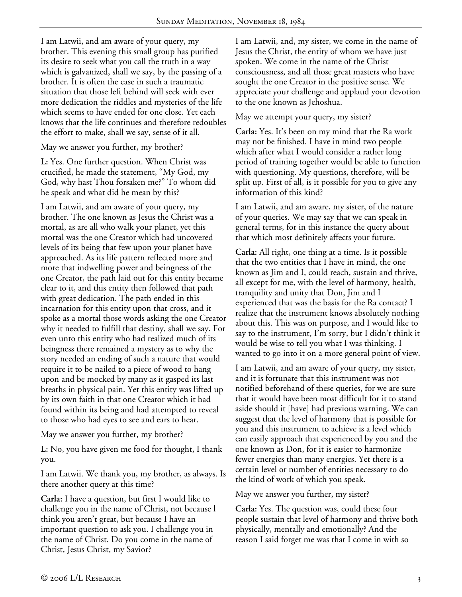I am Latwii, and am aware of your query, my brother. This evening this small group has purified its desire to seek what you call the truth in a way which is galvanized, shall we say, by the passing of a brother. It is often the case in such a traumatic situation that those left behind will seek with ever more dedication the riddles and mysteries of the life which seems to have ended for one close. Yet each knows that the life continues and therefore redoubles the effort to make, shall we say, sense of it all.

May we answer you further, my brother?

**L:** Yes. One further question. When Christ was crucified, he made the statement, "My God, my God, why hast Thou forsaken me?" To whom did he speak and what did he mean by this?

I am Latwii, and am aware of your query, my brother. The one known as Jesus the Christ was a mortal, as are all who walk your planet, yet this mortal was the one Creator which had uncovered levels of its being that few upon your planet have approached. As its life pattern reflected more and more that indwelling power and beingness of the one Creator, the path laid out for this entity became clear to it, and this entity then followed that path with great dedication. The path ended in this incarnation for this entity upon that cross, and it spoke as a mortal those words asking the one Creator why it needed to fulfill that destiny, shall we say. For even unto this entity who had realized much of its beingness there remained a mystery as to why the story needed an ending of such a nature that would require it to be nailed to a piece of wood to hang upon and be mocked by many as it gasped its last breaths in physical pain. Yet this entity was lifted up by its own faith in that one Creator which it had found within its being and had attempted to reveal to those who had eyes to see and ears to hear.

May we answer you further, my brother?

**L:** No, you have given me food for thought, I thank you.

I am Latwii. We thank you, my brother, as always. Is there another query at this time?

**Carla:** I have a question, but first I would like to challenge you in the name of Christ, not because l think you aren't great, but because I have an important question to ask you. I challenge you in the name of Christ. Do you come in the name of Christ, Jesus Christ, my Savior?

I am Latwii, and, my sister, we come in the name of Jesus the Christ, the entity of whom we have just spoken. We come in the name of the Christ consciousness, and all those great masters who have sought the one Creator in the positive sense. We appreciate your challenge and applaud your devotion to the one known as Jehoshua.

May we attempt your query, my sister?

**Carla:** Yes. It's been on my mind that the Ra work may not be finished. I have in mind two people which after what I would consider a rather long period of training together would be able to function with questioning. My questions, therefore, will be split up. First of all, is it possible for you to give any information of this kind?

I am Latwii, and am aware, my sister, of the nature of your queries. We may say that we can speak in general terms, for in this instance the query about that which most definitely affects your future.

**Carla:** All right, one thing at a time. Is it possible that the two entities that I have in mind, the one known as Jim and I, could reach, sustain and thrive, all except for me, with the level of harmony, health, tranquility and unity that Don, Jim and I experienced that was the basis for the Ra contact? I realize that the instrument knows absolutely nothing about this. This was on purpose, and I would like to say to the instrument, I'm sorry, but I didn't think it would be wise to tell you what I was thinking. I wanted to go into it on a more general point of view.

I am Latwii, and am aware of your query, my sister, and it is fortunate that this instrument was not notified beforehand of these queries, for we are sure that it would have been most difficult for it to stand aside should it [have] had previous warning. We can suggest that the level of harmony that is possible for you and this instrument to achieve is a level which can easily approach that experienced by you and the one known as Don, for it is easier to harmonize fewer energies than many energies. Yet there is a certain level or number of entities necessary to do the kind of work of which you speak.

May we answer you further, my sister?

**Carla:** Yes. The question was, could these four people sustain that level of harmony and thrive both physically, mentally and emotionally? And the reason I said forget me was that I come in with so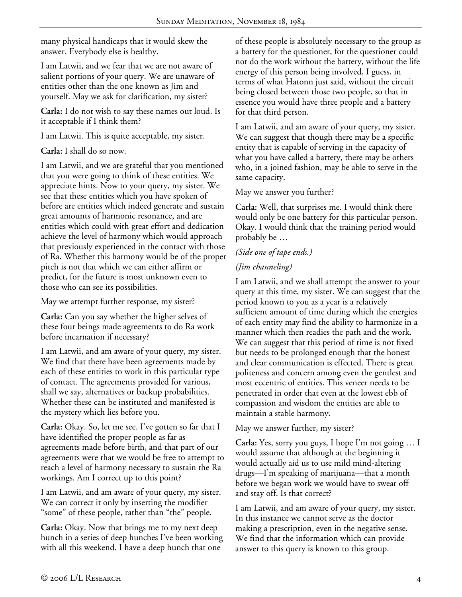many physical handicaps that it would skew the answer. Everybody else is healthy.

I am Latwii, and we fear that we are not aware of salient portions of your query. We are unaware of entities other than the one known as Jim and yourself. May we ask for clarification, my sister?

**Carla:** I do not wish to say these names out loud. Is it acceptable if I think them?

I am Latwii. This is quite acceptable, my sister.

**Carla:** I shall do so now.

I am Latwii, and we are grateful that you mentioned that you were going to think of these entities. We appreciate hints. Now to your query, my sister. We see that these entities which you have spoken of before are entities which indeed generate and sustain great amounts of harmonic resonance, and are entities which could with great effort and dedication achieve the level of harmony which would approach that previously experienced in the contact with those of Ra. Whether this harmony would be of the proper pitch is not that which we can either affirm or predict, for the future is most unknown even to those who can see its possibilities.

May we attempt further response, my sister?

**Carla:** Can you say whether the higher selves of these four beings made agreements to do Ra work before incarnation if necessary?

I am Latwii, and am aware of your query, my sister. We find that there have been agreements made by each of these entities to work in this particular type of contact. The agreements provided for various, shall we say, alternatives or backup probabilities. Whether these can be instituted and manifested is the mystery which lies before you.

**Carla:** Okay. So, let me see. I've gotten so far that I have identified the proper people as far as agreements made before birth, and that part of our agreements were that we would be free to attempt to reach a level of harmony necessary to sustain the Ra workings. Am I correct up to this point?

I am Latwii, and am aware of your query, my sister. We can correct it only by inserting the modifier "some" of these people, rather than "the" people.

**Carla:** Okay. Now that brings me to my next deep hunch in a series of deep hunches I've been working with all this weekend. I have a deep hunch that one

of these people is absolutely necessary to the group as a battery for the questioner, for the questioner could not do the work without the battery, without the life energy of this person being involved, I guess, in terms of what Hatonn just said, without the circuit being closed between those two people, so that in essence you would have three people and a battery for that third person.

I am Latwii, and am aware of your query, my sister. We can suggest that though there may be a specific entity that is capable of serving in the capacity of what you have called a battery, there may be others who, in a joined fashion, may be able to serve in the same capacity.

## May we answer you further?

**Carla:** Well, that surprises me. I would think there would only be one battery for this particular person. Okay. I would think that the training period would probably be …

# *(Side one of tape ends.)*

# *(Jim channeling)*

I am Latwii, and we shall attempt the answer to your query at this time, my sister. We can suggest that the period known to you as a year is a relatively sufficient amount of time during which the energies of each entity may find the ability to harmonize in a manner which then readies the path and the work. We can suggest that this period of time is not fixed but needs to be prolonged enough that the honest and clear communication is effected. There is great politeness and concern among even the gentlest and most eccentric of entities. This veneer needs to be penetrated in order that even at the lowest ebb of compassion and wisdom the entities are able to maintain a stable harmony.

May we answer further, my sister?

**Carla:** Yes, sorry you guys, I hope I'm not going … I would assume that although at the beginning it would actually aid us to use mild mind-altering drugs—I'm speaking of marijuana—that a month before we began work we would have to swear off and stay off. Is that correct?

I am Latwii, and am aware of your query, my sister. In this instance we cannot serve as the doctor making a prescription, even in the negative sense. We find that the information which can provide answer to this query is known to this group.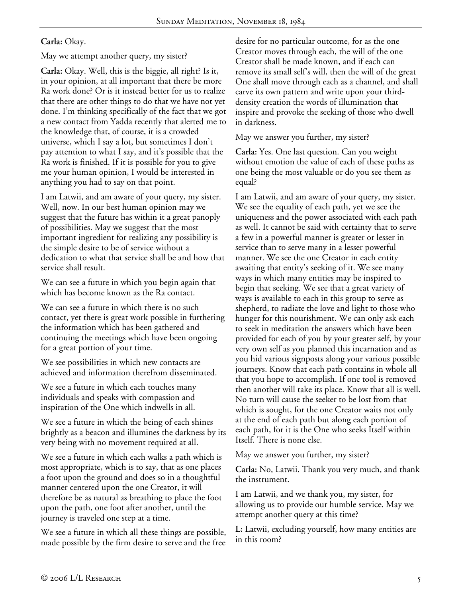## **Carla:** Okay.

May we attempt another query, my sister?

**Carla:** Okay. Well, this is the biggie, all right? Is it, in your opinion, at all important that there be more Ra work done? Or is it instead better for us to realize that there are other things to do that we have not yet done. I'm thinking specifically of the fact that we got a new contact from Yadda recently that alerted me to the knowledge that, of course, it is a crowded universe, which I say a lot, but sometimes I don't pay attention to what I say, and it's possible that the Ra work is finished. If it is possible for you to give me your human opinion, I would be interested in anything you had to say on that point.

I am Latwii, and am aware of your query, my sister. Well, now. In our best human opinion may we suggest that the future has within it a great panoply of possibilities. May we suggest that the most important ingredient for realizing any possibility is the simple desire to be of service without a dedication to what that service shall be and how that service shall result.

We can see a future in which you begin again that which has become known as the Ra contact.

We can see a future in which there is no such contact, yet there is great work possible in furthering the information which has been gathered and continuing the meetings which have been ongoing for a great portion of your time.

We see possibilities in which new contacts are achieved and information therefrom disseminated.

We see a future in which each touches many individuals and speaks with compassion and inspiration of the One which indwells in all.

We see a future in which the being of each shines brightly as a beacon and illumines the darkness by its very being with no movement required at all.

We see a future in which each walks a path which is most appropriate, which is to say, that as one places a foot upon the ground and does so in a thoughtful manner centered upon the one Creator, it will therefore be as natural as breathing to place the foot upon the path, one foot after another, until the journey is traveled one step at a time.

We see a future in which all these things are possible, made possible by the firm desire to serve and the free desire for no particular outcome, for as the one Creator moves through each, the will of the one Creator shall be made known, and if each can remove its small self's will, then the will of the great One shall move through each as a channel, and shall carve its own pattern and write upon your thirddensity creation the words of illumination that inspire and provoke the seeking of those who dwell in darkness.

May we answer you further, my sister?

**Carla:** Yes. One last question. Can you weight without emotion the value of each of these paths as one being the most valuable or do you see them as equal?

I am Latwii, and am aware of your query, my sister. We see the equality of each path, yet we see the uniqueness and the power associated with each path as well. It cannot be said with certainty that to serve a few in a powerful manner is greater or lesser in service than to serve many in a lesser powerful manner. We see the one Creator in each entity awaiting that entity's seeking of it. We see many ways in which many entities may be inspired to begin that seeking. We see that a great variety of ways is available to each in this group to serve as shepherd, to radiate the love and light to those who hunger for this nourishment. We can only ask each to seek in meditation the answers which have been provided for each of you by your greater self, by your very own self as you planned this incarnation and as you hid various signposts along your various possible journeys. Know that each path contains in whole all that you hope to accomplish. If one tool is removed then another will take its place. Know that all is well. No turn will cause the seeker to be lost from that which is sought, for the one Creator waits not only at the end of each path but along each portion of each path, for it is the One who seeks Itself within Itself. There is none else.

May we answer you further, my sister?

**Carla:** No, Latwii. Thank you very much, and thank the instrument.

I am Latwii, and we thank you, my sister, for allowing us to provide our humble service. May we attempt another query at this time?

**L:** Latwii, excluding yourself, how many entities are in this room?